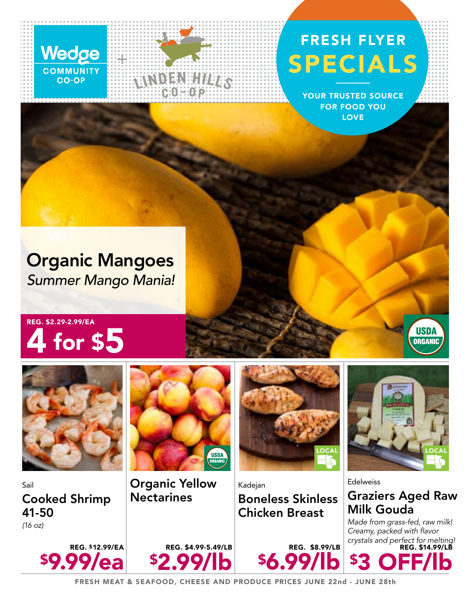

## FRESH FLYER SPECIALS

YOUR TRUSTED SOURCE FOR FOOD YOU LOVE

## Organic Mangoes *Summer Mango Mania!*

## REG. \$2.29-2.99/EA 4 for \$5



Sail Cooked Shrimp 41-50 *(16 oz)*



WDEN:HITTS

Organic Yellow **Nectarines** 

REG. \$4.99-5.49/LB

\$2.99/lb



Kadejan Boneless Skinless Chicken Breast

REG. \$8.99/LB

\$6.99/lb



**USDA ORGANIC** 

**Edelweiss** Graziers Aged Raw Milk Gouda

*Made from grass-fed, raw milk!*  Creamy, packed with flavor *crystals and perfect for melting!* REG. \$14.99/LB

\$3 OFF/lb



FRESH MEAT & SEAFOOD, CHEESE AND PRODUCE PRICES JUNE 22nd - JUNE 28th